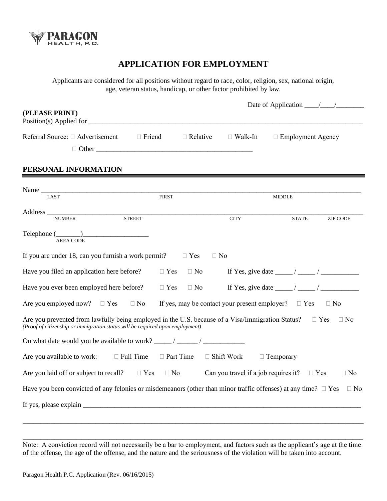

# **APPLICATION FOR EMPLOYMENT**

Applicants are considered for all positions without regard to race, color, religion, sex, national origin, age, veteran status, handicap, or other factor prohibited by law.

|                                                                                                                                                                                                 |                                                     | Date of Application $\frac{\sqrt{2}}{2}$ |                |                          |                 |
|-------------------------------------------------------------------------------------------------------------------------------------------------------------------------------------------------|-----------------------------------------------------|------------------------------------------|----------------|--------------------------|-----------------|
| (PLEASE PRINT)                                                                                                                                                                                  |                                                     |                                          |                |                          |                 |
| Position(s) Applied for                                                                                                                                                                         |                                                     |                                          |                |                          |                 |
| Referral Source: □ Advertisement                                                                                                                                                                | $\Box$ Friend                                       | $\Box$ Relative                          | $\Box$ Walk-In | $\Box$ Employment Agency |                 |
|                                                                                                                                                                                                 |                                                     |                                          |                |                          |                 |
|                                                                                                                                                                                                 |                                                     |                                          |                |                          |                 |
| PERSONAL INFORMATION                                                                                                                                                                            |                                                     |                                          |                |                          |                 |
|                                                                                                                                                                                                 |                                                     |                                          |                |                          |                 |
| LAST                                                                                                                                                                                            | <b>FIRST</b>                                        |                                          |                | <b>MIDDLE</b>            |                 |
|                                                                                                                                                                                                 |                                                     |                                          |                |                          |                 |
| Address NUMBER STREET                                                                                                                                                                           |                                                     |                                          | <b>CITY</b>    |                          |                 |
|                                                                                                                                                                                                 |                                                     |                                          |                | <b>STATE</b>             | <b>ZIP CODE</b> |
| $Telephone (\_\_)$                                                                                                                                                                              |                                                     |                                          |                |                          |                 |
| <b>AREA CODE</b>                                                                                                                                                                                |                                                     |                                          |                |                          |                 |
| If you are under 18, can you furnish a work permit?                                                                                                                                             |                                                     | $\Box$ Yes                               | $\Box$ No      |                          |                 |
| Have you filed an application here before?                                                                                                                                                      |                                                     | $\Box$ Yes $\Box$ No                     |                |                          |                 |
| Have you ever been employed here before? $\square$ Yes $\square$ No                                                                                                                             |                                                     |                                          |                |                          |                 |
| Are you employed now? $\Box$ Yes $\Box$ No If yes, may be contact your present employer? $\Box$ Yes                                                                                             |                                                     |                                          |                |                          | $\Box$ No       |
| Are you prevented from lawfully being employed in the U.S. because of a Visa/Immigration Status? $\square$ Yes<br>(Proof of citizenship or immigration status will be required upon employment) |                                                     |                                          |                |                          | $\Box$ No       |
|                                                                                                                                                                                                 |                                                     |                                          |                |                          |                 |
| Are you available to work:                                                                                                                                                                      | $\Box$ Full Time $\Box$ Part Time $\Box$ Shift Work |                                          |                | $\Box$ Temporary         |                 |
| Are you laid off or subject to recall? $\square$ Yes $\square$ No Can you travel if a job requires it? $\square$ Yes                                                                            |                                                     |                                          |                |                          | $\Box$ No       |
| Have you been convicted of any felonies or misdemeanors (other than minor traffic offenses) at any time? $\Box$ Yes                                                                             |                                                     |                                          |                |                          | $\Box$ No       |
|                                                                                                                                                                                                 |                                                     |                                          |                |                          |                 |
|                                                                                                                                                                                                 |                                                     |                                          |                |                          |                 |

\_\_\_\_\_\_\_\_\_\_\_\_\_\_\_\_\_\_\_\_\_\_\_\_\_\_\_\_\_\_\_\_\_\_\_\_\_\_\_\_\_\_\_\_\_\_\_\_\_\_\_\_\_\_\_\_\_\_\_\_\_\_\_\_\_\_\_\_\_\_\_\_\_\_\_\_\_\_\_\_\_\_\_\_\_\_\_\_\_\_\_\_\_\_\_\_\_\_ Note: A conviction record will not necessarily be a bar to employment, and factors such as the applicant's age at the time of the offense, the age of the offense, and the nature and the seriousness of the violation will be taken into account.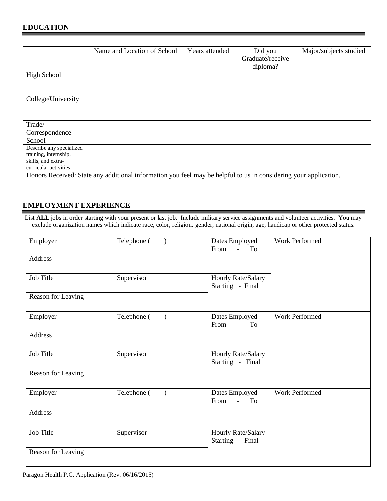|                                                                                                  | Name and Location of School                                                                                      | Years attended | Did you<br>Graduate/receive<br>diploma? | Major/subjects studied |
|--------------------------------------------------------------------------------------------------|------------------------------------------------------------------------------------------------------------------|----------------|-----------------------------------------|------------------------|
| <b>High School</b>                                                                               |                                                                                                                  |                |                                         |                        |
| College/University                                                                               |                                                                                                                  |                |                                         |                        |
| Trade/<br>Correspondence<br>School                                                               |                                                                                                                  |                |                                         |                        |
| Describe any specialized<br>training, internship,<br>skills, and extra-<br>curricular activities |                                                                                                                  |                |                                         |                        |
|                                                                                                  | Honors Received: State any additional information you feel may be helpful to us in considering your application. |                |                                         |                        |

## **EMPLOYMENT EXPERIENCE**

List **ALL** jobs in order starting with your present or last job. Include military service assignments and volunteer activities. You may exclude organization names which indicate race, color, religion, gender, national origin, age, handicap or other protected status.

| Employer           | Telephone (              | Dates Employed<br>From<br>$\omega$ .<br>To         | Work Performed        |
|--------------------|--------------------------|----------------------------------------------------|-----------------------|
| Address            |                          |                                                    |                       |
| Job Title          | Supervisor               | Hourly Rate/Salary<br>Starting - Final             |                       |
| Reason for Leaving |                          |                                                    |                       |
| Employer           | Telephone (<br>$\lambda$ | Dates Employed<br>From<br>$\Delta \sim 10^4$<br>To | <b>Work Performed</b> |
| Address            |                          |                                                    |                       |
| Job Title          | Supervisor               | Hourly Rate/Salary<br>Starting - Final             |                       |
| Reason for Leaving |                          |                                                    |                       |
| Employer           | Telephone (              | Dates Employed<br>From<br>$\Delta \sim 10^4$<br>To | Work Performed        |
| Address            |                          |                                                    |                       |
| Job Title          | Supervisor               | Hourly Rate/Salary<br>Starting - Final             |                       |
| Reason for Leaving |                          |                                                    |                       |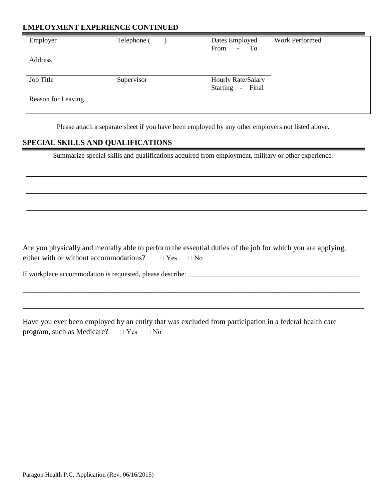### **EMPLOYMENT EXPERIENCE CONTINUED**

| Employer           | Telephone ( | Dates Employed<br>From<br>$-$ To          | Work Performed |
|--------------------|-------------|-------------------------------------------|----------------|
| Address            |             |                                           |                |
| Job Title          | Supervisor  | Hourly Rate/Salary<br>Starting -<br>Final |                |
| Reason for Leaving |             |                                           |                |

Please attach a separate sheet if you have been employed by any other employers not listed above.

#### **SPECIAL SKILLS AND QUALIFICATIONS**

Summarize special skills and qualifications acquired from employment, military or other experience.

Are you physically and mentally able to perform the essential duties of the job for which you are applying, either with or without accommodations?  $\Box$  Yes  $\Box$  No

\_\_\_\_\_\_\_\_\_\_\_\_\_\_\_\_\_\_\_\_\_\_\_\_\_\_\_\_\_\_\_\_\_\_\_\_\_\_\_\_\_\_\_\_\_\_\_\_\_\_\_\_\_\_\_\_\_\_\_\_\_\_\_\_\_\_\_\_\_\_\_\_\_\_\_\_\_\_\_\_\_\_\_\_\_\_\_\_\_\_\_\_\_\_\_\_\_

\_\_\_\_\_\_\_\_\_\_\_\_\_\_\_\_\_\_\_\_\_\_\_\_\_\_\_\_\_\_\_\_\_\_\_\_\_\_\_\_\_\_\_\_\_\_\_\_\_\_\_\_\_\_\_\_\_\_\_\_\_\_\_\_\_\_\_\_\_\_\_\_\_\_\_\_\_\_\_\_\_\_\_\_\_\_\_\_\_\_

If workplace accommodation is requested, please describe: \_\_\_\_\_\_\_\_\_\_\_\_\_\_\_\_\_\_\_\_\_\_\_\_\_\_\_\_\_\_\_\_\_\_\_\_\_\_\_\_\_\_\_\_\_\_\_\_\_

Have you ever been employed by an entity that was excluded from participation in a federal health care program, such as Medicare?  $\Box$  Yes  $\Box$  No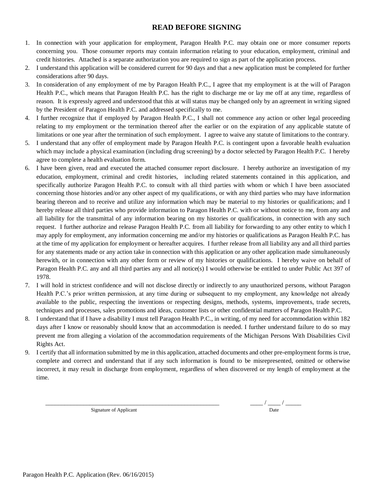#### **READ BEFORE SIGNING**

- 1. In connection with your application for employment, Paragon Health P.C. may obtain one or more consumer reports concerning you. Those consumer reports may contain information relating to your education, employment, criminal and credit histories. Attached is a separate authorization you are required to sign as part of the application process.
- 2. I understand this application will be considered current for 90 days and that a new application must be completed for further considerations after 90 days.
- 3. In consideration of any employment of me by Paragon Health P.C., I agree that my employment is at the will of Paragon Health P.C., which means that Paragon Health P.C. has the right to discharge me or lay me off at any time, regardless of reason. It is expressly agreed and understood that this at will status may be changed only by an agreement in writing signed by the President of Paragon Health P.C. and addressed specifically to me.
- 4. I further recognize that if employed by Paragon Health P.C., I shall not commence any action or other legal proceeding relating to my employment or the termination thereof after the earlier or on the expiration of any applicable statute of limitations or one year after the termination of such employment. I agree to waive any statute of limitations to the contrary.
- 5. I understand that any offer of employment made by Paragon Health P.C. is contingent upon a favorable health evaluation which may include a physical examination (including drug screening) by a doctor selected by Paragon Health P.C. I hereby agree to complete a health evaluation form.
- 6. I have been given, read and executed the attached consumer report disclosure. I hereby authorize an investigation of my education, employment, criminal and credit histories, including related statements contained in this application, and specifically authorize Paragon Health P.C. to consult with all third parties with whom or which I have been associated concerning those histories and/or any other aspect of my qualifications, or with any third parties who may have information bearing thereon and to receive and utilize any information which may be material to my histories or qualifications; and I hereby release all third parties who provide information to Paragon Health P.C. with or without notice to me, from any and all liability for the transmittal of any information bearing on my histories or qualifications, in connection with any such request. I further authorize and release Paragon Health P.C. from all liability for forwarding to any other entity to which I may apply for employment, any information concerning me and/or my histories or qualifications as Paragon Health P.C. has at the time of my application for employment or hereafter acquires. I further release from all liability any and all third parties for any statements made or any action take in connection with this application or any other application made simultaneously herewith, or in connection with any other form or review of my histories or qualifications. I hereby waive on behalf of Paragon Health P.C. any and all third parties any and all notice(s) I would otherwise be entitled to under Public Act 397 of 1978.
- 7. I will hold in strictest confidence and will not disclose directly or indirectly to any unauthorized persons, without Paragon Health P.C.'s prior written permission, at any time during or subsequent to my employment, any knowledge not already available to the public, respecting the inventions or respecting designs, methods, systems, improvements, trade secrets, techniques and processes, sales promotions and ideas, customer lists or other confidential matters of Paragon Health P.C.
- 8. I understand that if I have a disability I must tell Paragon Health P.C., in writing, of my need for accommodation within 182 days after I know or reasonably should know that an accommodation is needed. I further understand failure to do so may prevent me from alleging a violation of the accommodation requirements of the Michigan Persons With Disabilities Civil Rights Act.
- 9. I certify that all information submitted by me in this application, attached documents and other pre-employment forms is true, complete and correct and understand that if any such information is found to be misrepresented, omitted or otherwise incorrect, it may result in discharge from employment, regardless of when discovered or my length of employment at the time.

Signature of Applicant Date

\_\_\_\_\_\_\_\_\_\_\_\_\_\_\_\_\_\_\_\_\_\_\_\_\_\_\_\_\_\_\_\_\_\_\_\_\_\_\_\_\_\_\_\_\_\_\_\_\_\_\_\_\_\_\_ \_\_\_\_ / \_\_\_\_ / \_\_\_\_\_